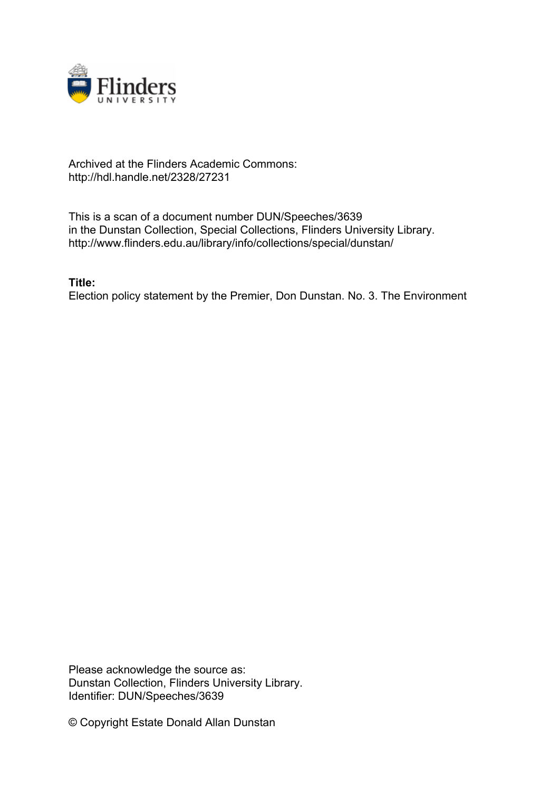

## Archived at the Flinders Academic Commons: http://hdl.handle.net/2328/27231

This is a scan of a document number DUN/Speeches/3639 in the Dunstan Collection, Special Collections, Flinders University Library. http://www.flinders.edu.au/library/info/collections/special/dunstan/

**Title:**

Election policy statement by the Premier, Don Dunstan. No. 3. The Environment

Please acknowledge the source as: Dunstan Collection, Flinders University Library. Identifier: DUN/Speeches/3639

© Copyright Estate Donald Allan Dunstan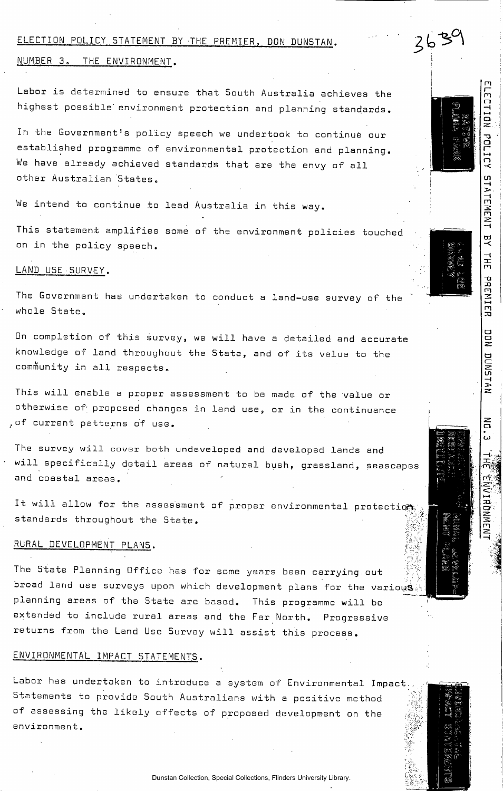#### ELECTION POLICY STATEMENT BY THE PREMIER, DON DUNSTAN.

### NUMBER 3. THE ENVIRONMENT.

Labor is determined to ensure that South Australia achieves the highest possible' environment protection and planning standards.

In the Government's policy speech we undertook to continue our established programme of environmental protection and planning. We have already achieved standards that are the envy of all other Australian States.

We intend to continue to lead Australia in this way.

This statement amplifies some of the environment policies touched on in the policy speech.

#### LAND USE SURVEY.

The Government has undertaken to conduct a land-use survey of the whole State.

On completion of this survey, we will have a detailed and accurate knowledge of land throughout the State, and of its value to the community in all respects.

This will enable a proper assessment to be made of the value or otherwise of proposed changes in land use, or in the continuance ,of current patterns of use.

The survey will cover both undeveloped and developed lands and will specifically detail areas of natural bush, grassland, seascapes and coastal areas.

It will allow for the assessment of proper environmental protections standards throughout the State.

## RURAL DEVELOPMENT PLANS.

The State Planning Office has for some years been carrying out broad land use surveys upon which development plans for the various planning areas of the State are based. This programme will be extended to include rural areas and the Far North. Progressive returns from the Land Use Survey will assist this process.

# ENVIRONMENTAL IMPACT STATEMENTS.

Labor has undertaken to introduce a system of Environmental Impact... Statements to provide South Australians with a positive method of assessing the likely effects of proposed development on the environment.



ELECTION POLICY

STATEMENT

 $\frac{1}{2}$ 

 $\frac{1}{2}$ H<sub>1</sub>

PREMIER

DON

DUNSTAN

 $\vec{5}$ <u>س</u>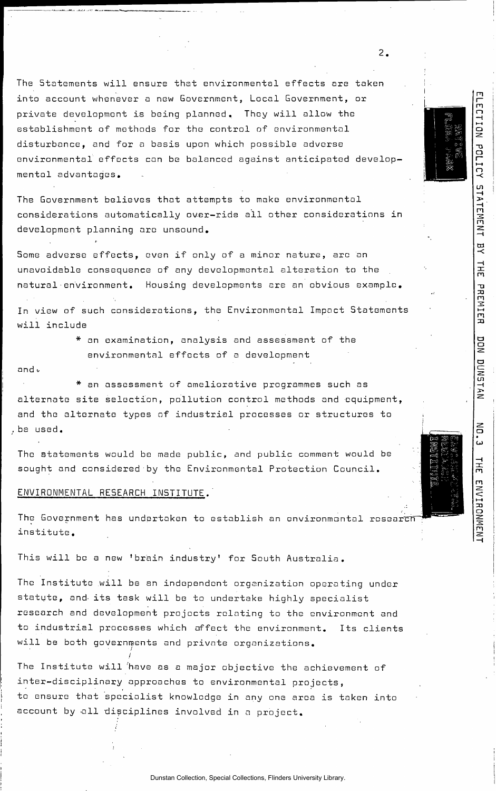The Statements will ensure that environmental effects are taken into account whenever a new Government, Local Government, or private development is being planned. They will allow the establishment of methods for the control of environmental disturbance, and for a basis upon which possible adverse environmental effects con be balanced against anticipated developmental advantages.

 $\overline{2}$ .

 $\equiv$  2  $\equiv$   $\equiv$   $\equiv$ 7 5 6 %<br>1 5 6 5 7<br>1 5 6 7 7  $\Xi$  in and  $\Xi$ 

ELECTION

POLICY STATEMENT

븟

**HHT** 

PREMIER

DON

DUNSTAN

륾

计元

ENVIRONMENT

The Government believes that attempts to make environmental considerations automatically over-ride all other considerations in development planning ore unsound.

Some adverse effects, even if only of a minor nature, are an unavoidable consequence of any developmental alteration to the natural•environment. Housing developments are an obvious example.

In view of such considerations, the Environmental Impact Statements will include

> \* an examination, analysis and assessment of the environmental effects of a development

and i-

\* an assessment of ameliorative programmes such as alternate site selection, pollution control methods and equipment, and the alternate types of industrial processes or structures to be used.

The statements would be made public, and public comment would be sought and considered by the Environmental Protection Council.

#### ENVIRONMENTAL RESEARCH IN5TITUTE.'

*I* 

The Government has undertaken to establish an environmental research institute .

This will be a new 'brain industry' for South Australia.

The Institute will be an independent organization operating under statute, and its task will be to undertake highly specialist research and development projects relating to the environment and to industrial processes which affect the environment. Its clients will be both governments and private organizations.

The Institute will 'have as a major objective the achievement of inter-disciplinary approaches to environmental projects, to ensure that specialist knowledge in any one area is taken into account by all disciplines involved in a project.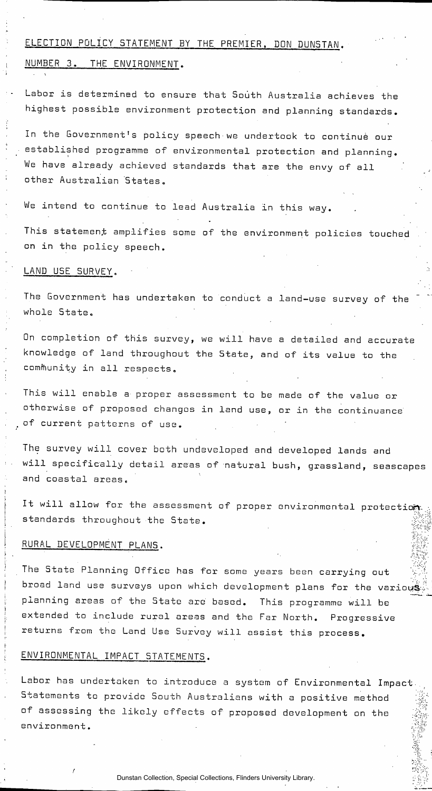# ELECTION POLICY STATEMENT BY THE PREMIER, DON DUNSTAN.

#### NUMBER 3. THE ENVIRONMENT.

Labor is determined to ensure that South Australia achieves the highest possible environment protection and planning standards.

In the Government's policy speech we undertook to continue our established programme of environmental protection and planning. We have already achieved standards that are the envy of all other Australian States.

We intend to continue to lead Australia in this way.

This statement amplifies some of the environment policies touched on in the policy speech.

#### LAND USE SURVEY.

The Government has undertaken to conduct a land-use survey of the whole State.

On completion of this survey, we will have a detailed and accurate knowledge of land throughout the State, and of its value to the community in all respects.

This will enable a proper assessment to be made of the value or otherwise of proposed changes in land use, or in the continuance of current patterns of use.

The survey will cover both undeveloped and developed lands and will specifically detail areas of natural bush, grassland, seascapes and coastal areas.

It will allow for the assessment of proper environmental protection standards throughout the State.

## RURAL DEVELOPMENT PLANS.

The State Planning Office has for some years been carrying out broad land use surveys upon which development plans for the various planning areas of the State are based. This programme will be extended to include rural areas and the Far North. Progressive returns from the Land Use Survey will assist this process.

## ENVIRONMENTAL IMPACT STATEMENTS.

Labor has undertaken to introduce a system of Environmental Impact-Statements to provide South Australians with a positive method of assessing the likely effects of proposed development on the environment.

Dunstan Collection, Special Collections, Flinders University Library.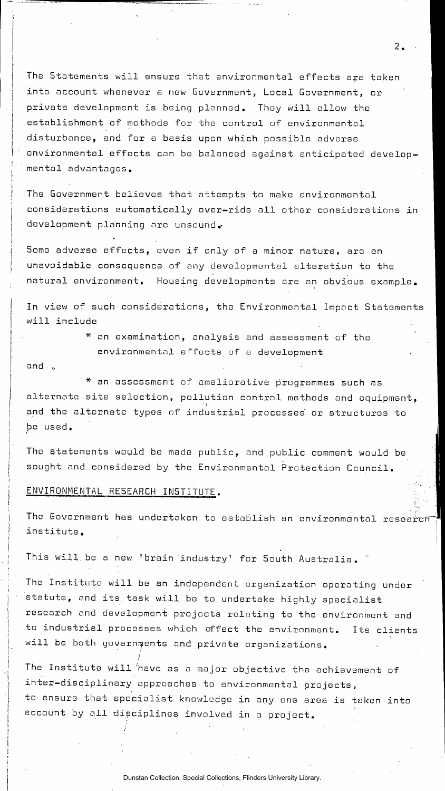The Statements will ensure that environmental effects are taken into account whenever a new Government, Local Government, or private development is being planned. They will allow the establishment of methods for the control of environmental disturbance, and for a basis upon which possible adverse environmental effects con be balanced against anticipated developmental advantages.

The Government believes that attempts to make environmental considerations automatically over-ride all other considerations in development planning are unsound.

Some adverse effects, even if only of a minor nature, are on unavoidable consequence of any developmental alteration to the natural environment. Housing developments are an obvious example.

In view of such considerations, the Environmental Impact Statements will include

> \* on examination, analysis and assessment of the environmental effects of a development

and  $\epsilon$  -contracts to the contract of the contracts of the contracts of the contracts of the contracts of the contracts of the contracts of the contracts of the contracts of the contracts of the contracts of the contract

'\* an assessment of ameliorative programmes such as alternate site selection, pollution control methods and equipment, and the alternate types of industrial processes or structures to be used.

The statements would be made public, and public comment would be sought and considered by the Environmental Protection Council.

### ENVIRONMENTAL RESEARCH' INSTITUTE.

/

The Government has undertaken to establish an environmental research institute. **i** 

f

 $2.$ 

i

This will be a new 'brain industry' for South Australia.

The Institute will be an independent organization operating under statute, and its. task will be to undertake highly specialist research and development projects relating to the environment and to industrial processes which affect the environment. Its clients will be both governments and private organizations.

The Institute will 'have as a major objective the achievement of inter-disciplinary approaches to environmental projects, to- ensure that specialist knowledge in any one area is taken into account by all disciplines involved in a project.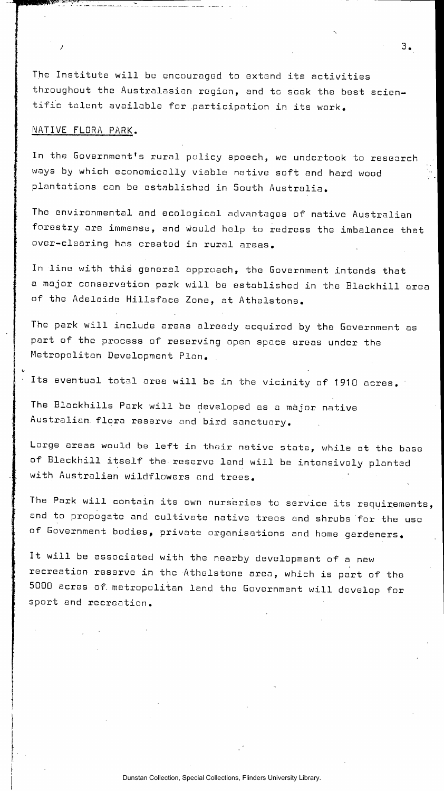The Institute will be encouraged to extend its activities throughout the Australasian region, and to seek the best scientific talent available for .participation in its work.

#### NATIVE FLORA PARK.

In the Government's rural policy speech, we undertook to research ways by which economically viable native soft and hard wood plantations can be established in South Australia.

The environmental and ecological advantages of native Australian forestry ore immense, and would help to redress the imbalance that over-clearing has created in rural areas.

In line with this general approach, the Government intends that a major conservation park will be established in the Blackhill area of the Adelaide Hillsface Zone, at Athelstone.

The park will include areas already acquired by the Government as part of the process of reserving open space areas under the Metropolitan Development Plan.

Its eventual total area will be in the vicinity of 1910 acres.

The Blackhills Park will be developed as a major native Australian, flora reserve and bird sanctuary.

Large areas would be left in their native state, while at the base of Blackhill itself the reserve land will be intensively planted with Australian wildflowers and trees.

The Park will contain its own nurseries to service its requirements, and to propogate and cultivate native trees and shrubs for the use of Government bodies, private organisations and home gardeners.

It will be associated with the nearby development of a new recreation reserve in the -Athelstone area, which is part of the 5000 acres of. metropolitan land the Government will develop for sport and recreation.